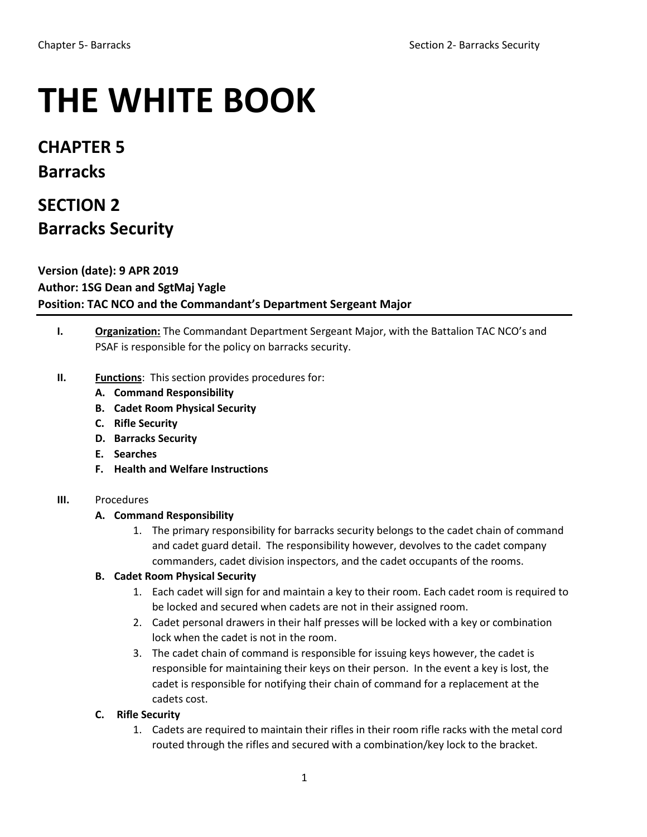# **THE WHITE BOOK**

**CHAPTER 5 Barracks**

# **SECTION 2 Barracks Security**

**Version (date): 9 APR 2019 Author: 1SG Dean and SgtMaj Yagle Position: TAC NCO and the Commandant's Department Sergeant Major**

- **I. Organization:** The Commandant Department Sergeant Major, with the Battalion TAC NCO's and PSAF is responsible for the policy on barracks security.
- **II. Functions**: This section provides procedures for:
	- **A. Command Responsibility**
	- **B. Cadet Room Physical Security**
	- **C. Rifle Security**
	- **D. Barracks Security**
	- **E. Searches**
	- **F. Health and Welfare Instructions**

#### **III.** Procedures

#### **A. Command Responsibility**

1. The primary responsibility for barracks security belongs to the cadet chain of command and cadet guard detail. The responsibility however, devolves to the cadet company commanders, cadet division inspectors, and the cadet occupants of the rooms.

#### **B. Cadet Room Physical Security**

- 1. Each cadet will sign for and maintain a key to their room. Each cadet room is required to be locked and secured when cadets are not in their assigned room.
- 2. Cadet personal drawers in their half presses will be locked with a key or combination lock when the cadet is not in the room.
- 3. The cadet chain of command is responsible for issuing keys however, the cadet is responsible for maintaining their keys on their person. In the event a key is lost, the cadet is responsible for notifying their chain of command for a replacement at the cadets cost.

#### **C. Rifle Security**

1. Cadets are required to maintain their rifles in their room rifle racks with the metal cord routed through the rifles and secured with a combination/key lock to the bracket.